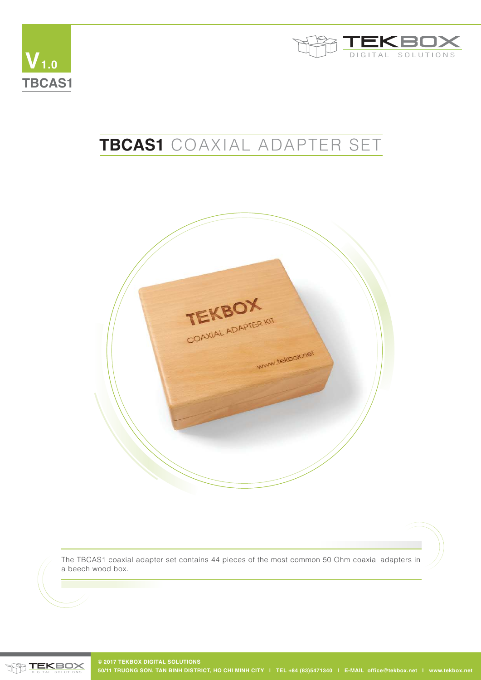



## **TBCAS1** COAXIAL ADAPTER SET



The TBCAS1 coaxial adapter set contains 44 pieces of the most common 50 Ohm coaxial adapters in a beech wood box.

**TEKBOX**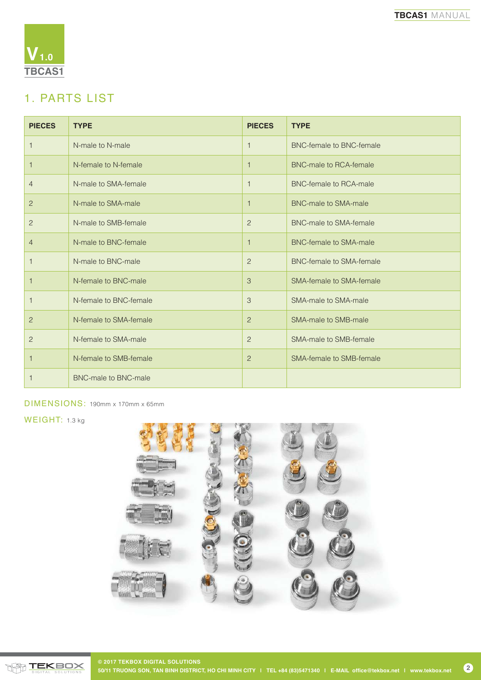

## 1. PARTS LIST

| <b>PIECES</b>  | <b>TYPE</b>                 | <b>PIECES</b>  | <b>TYPE</b>                     |
|----------------|-----------------------------|----------------|---------------------------------|
| $\mathbf{1}$   | N-male to N-male            | 1              | <b>BNC-female to BNC-female</b> |
| 1              | N-female to N-female        | 1              | BNC-male to RCA-female          |
| $\overline{4}$ | N-male to SMA-female        | $\overline{1}$ | BNC-female to RCA-male          |
| $\overline{2}$ | N-male to SMA-male          |                | <b>BNC-male to SMA-male</b>     |
| $\overline{c}$ | N-male to SMB-female        | 2              | BNC-male to SMA-female          |
| $\overline{4}$ | N-male to BNC-female        | 1              | BNC-female to SMA-male          |
| 1              | N-male to BNC-male          | $\overline{c}$ | <b>BNC-female to SMA-female</b> |
| 1              | N-female to BNC-male        | 3              | SMA-female to SMA-female        |
| 1              | N-female to BNC-female      | 3              | SMA-male to SMA-male            |
| $\overline{2}$ | N-female to SMA-female      | $\overline{2}$ | SMA-male to SMB-male            |
| $\overline{2}$ | N-female to SMA-male        | 2              | SMA-male to SMB-female          |
| $\mathbf{1}$   | N-female to SMB-female      | 2              | SMA-female to SMB-female        |
| 1              | <b>BNC-male to BNC-male</b> |                |                                 |

DIMENSIONS: 190mm x 170mm x 65mm

WEIGHT: 1.3 kg